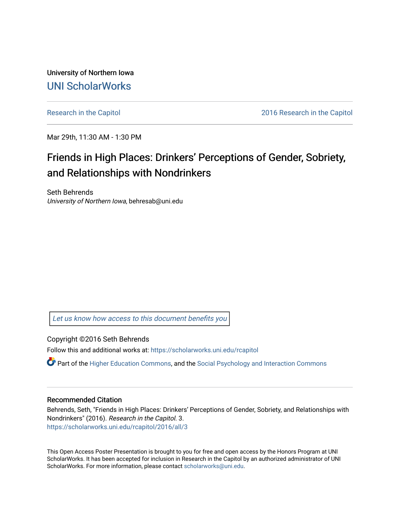University of Northern Iowa [UNI ScholarWorks](https://scholarworks.uni.edu/) 

[Research in the Capitol](https://scholarworks.uni.edu/rcapitol) 2016 Research in the Capitol

Mar 29th, 11:30 AM - 1:30 PM

#### Friends in High Places: Drinkers' Perceptions of Gender, Sobriety, and Relationships with Nondrinkers

Seth Behrends University of Northern Iowa, behresab@uni.edu

[Let us know how access to this document benefits you](https://scholarworks.uni.edu/feedback_form.html) 

Copyright ©2016 Seth Behrends

Follow this and additional works at: [https://scholarworks.uni.edu/rcapitol](https://scholarworks.uni.edu/rcapitol?utm_source=scholarworks.uni.edu%2Frcapitol%2F2016%2Fall%2F3&utm_medium=PDF&utm_campaign=PDFCoverPages) 

 $\bullet$  Part of the [Higher Education Commons,](http://network.bepress.com/hgg/discipline/1245?utm_source=scholarworks.uni.edu%2Frcapitol%2F2016%2Fall%2F3&utm_medium=PDF&utm_campaign=PDFCoverPages) and the [Social Psychology and Interaction Commons](http://network.bepress.com/hgg/discipline/430?utm_source=scholarworks.uni.edu%2Frcapitol%2F2016%2Fall%2F3&utm_medium=PDF&utm_campaign=PDFCoverPages)

#### Recommended Citation

Behrends, Seth, "Friends in High Places: Drinkers' Perceptions of Gender, Sobriety, and Relationships with Nondrinkers" (2016). Research in the Capitol. 3. [https://scholarworks.uni.edu/rcapitol/2016/all/3](https://scholarworks.uni.edu/rcapitol/2016/all/3?utm_source=scholarworks.uni.edu%2Frcapitol%2F2016%2Fall%2F3&utm_medium=PDF&utm_campaign=PDFCoverPages)

This Open Access Poster Presentation is brought to you for free and open access by the Honors Program at UNI ScholarWorks. It has been accepted for inclusion in Research in the Capitol by an authorized administrator of UNI ScholarWorks. For more information, please contact [scholarworks@uni.edu](mailto:scholarworks@uni.edu).